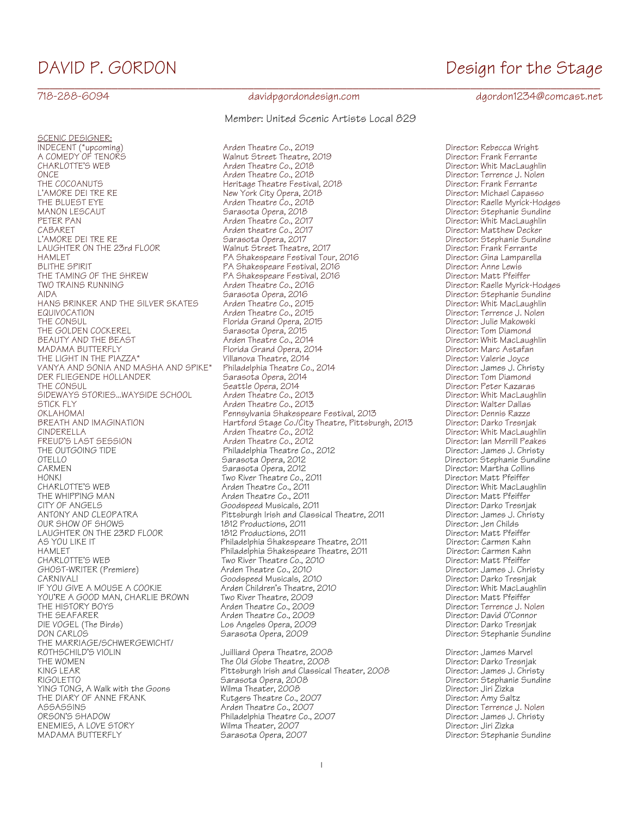SCENIC DESIGNER:<br>INDECENT (\*upcoming)<br>A COMEDY OF TENORS L'AMORE DEI TRE RE New York City Opera, 2018<br>THE BLUEST EYE New York Capacity Opera, 2018 PETER PAN Arden Theatre Co., 2017<br>CABARET CO., 2017 THE TAMING OF THE SHREW PA Shakespeare Festival, 2016<br>TWO TRAINS RUNNING Particle Rate Reader Theatre Co., 2016 HANS BRINKER AND THE SILVER SKATES Arden Theatre Co., 2015<br>EQUIVOCATION: Arden Theatre Co., 2015 THE GOLDEN COCKEREL Sarasota Opera, 2015<br>BEAUTY AND THE BEAST Sarasota Opera, 2014 DER FLIEGENDE HOLLANDER Sarasota Opera, 2014 Director: Tom Diamond THE OUTGOING TIDE **Philadelphia Theatre Co., 2012**<br>OTELLO OTELLO HONK!<br>CHARLOTTE'S WEB Theatre Co., 2011<br>Arden Theatre Co., 2011 CARNIVAL! Goodspeed Musicals, 2010 Director: Darko Tresnjak YOU'RE A GOOD MAN, CHARLIE BROWN Two River Theatre, 2009<br>THE HISTORY BOYS THE Matte Co., 2009 DIE VOGEL (The Birds) Los Angeles Opera, 2009<br>DON CARLOS DON CARLOS THE MARRIAGE/SCHWERGEWICHT/<br>ROTHSCHILD'S VIOLIN ROTHSCHILD'S VIOLIN Juilliard Opera Theatre, 2008 Director: James Marvel THE DIARY OF ANNE FRANK Rutgers Theatre Co., 2007<br>ASSASSINS ENEMIES, A LOVE STORY Wilma Theater, 2007 Director: Jiri Zizka

## 718-288-6094 davidpgordondesign.com dgordon1234@comcast.net

Member: United Scenic Artists Local 829

Arden Theatre Co., 2019<br>
Walnut Street Theatre, 2019 **Director: Rebecca Wright**<br>
Director: Frank Ferrante CHARLOTTE'S WEB COMEDY OF Theatre Co., 2018 CHARLOTTE'S WEB Arden Theatre Co., 2018 Co., 2019<br>2017 Director: Terrence J. Nolen وArden Theatre Co., 2018 ONCE Arden Theatre Co., 2018 Director: Terrence J. Nolen THE COCOANUTS<br>L'AMORE DEI TRE RE<br>L'AMORE DEI TRE RE LA SOLLE DE L'AMORE DE L'AMORE Director: Michael Capasso THE BLUEST EYE Arden Theatre Co., 2018 Director: Raelle Myrick-Hodges MANON LESCAUT Sarasota Opera, 2018 Director: Stephanie Sundine CABARET Arden theatre Co., 2017 Director: Matthew Decker L'AMORE DEI TRE RE Sarasota Opera, 2017 Director: Stephanie Sundine LAUGHTER ON THE 23rd FLOOR Walnut Street Theatre, 2017 Director: Frank Ferrante HAMLET PA Shakespeare Festival Tour, 2016 Director: Gina Lamparella BLITHE SPIRIT PA Shakespeare Festival, 2016 Director: Anne Lewis TWO TRAINS RUNNING<br>AIDA AINS RUNNING Arden Theatre Co., 2016 Arden Theatre Co., 2016<br>AIDA Director: Stephanie Sundine Sarasota Opera, 2016<br>
Arden Theatre Co., 2015<br>
Arden Theatre Co., 2015<br>
Director: Whit MacLaughlin EQUIVOCATION Arden Theatre Co., 2015 Director: Terrence J. Nolen THE CONSUL<br>THE GOLDEN COCKEREL Florida Grand Opera, 2015 Press, 2015 Director: Julie Makowski<br>Director: Tom Diamond BEAUTY AND THE BEAST Arden Theatre Co., 2014 Director: Whit MacLaughlin MADAMA BUTTERFLY Florida Grand Opera, 2014 Director: Marc Astafan THE LIGHT IN THE PIAZZA\* Villanova Theatre, 2014 Director: Valerie Joyce VANYA AND SONIA AND MASHA AND SPIKE\* Philadelphia Theatre Co., 2014 Director: James J. Christy THE CONSUL Seattle Opera, 2014 Director: Peter Kazaras SIDEWAYS STORIES...WAYSIDE SCHOOL Arden Theatre Co., 2013<br>STICK FLY Director: Walter Dallas Arden Theatre Co., 2013 STICK FLY Arden Theatre Co., 2013 Director: Walter Dallas OKLAHOMA! Pennsylvania Shakespeare Festival, 2013 Director: Dennis Razze BREATH AND IMAGINATION Hartford Stage Co./City Theatre, Pittsburgh, 2013<br>CINDERELLA CINDERELLA CINDERELLA Arden Theatre Co., 2012 Director: Whit MacLaughlin FREUD'S LAST SESSION Arden Theatre Co., 2012 Director: Ian Merrill Peakes OTELLO Sarasota Opera, 2012 Director: Stephanie Sundine CARMEN Sarasota Opera, 2012 Director: Martha Collins CHARLOTTE'S WEB CHARLOTTE'S WEB Arden Theatre Co., 2011<br>THE WHIPPING MAN CHARLOTTE Arden Theatre Co., 2011 Charlotte Co., 2011 THE WHIPPING MAN CHARRY Arden Theatre Co., 2011<br>CITY OF ANGELS CORPORT COORGOUGLE CONSIDER A GOOD COORGOUGLE CONSIDERATION Of The Director: Darko Tresnjak CITY OF ANGELS Goodspeed Musicals, 2011 Director: Darko Tresnjak Pittsburgh Irish and Classical Theatre, 2011 Director: James J. Christian Indian<br>1812 Productions, 2011 Director: Jen Childs OUR SHOW OF SHOWS 1812 Productions, 2011 Director: Jen Childs LAUGHTER ON THE 23RD FLOOR 1812 Productions, 2011 1812 Productions, 2011 AS YOU LIKE IT FREE IN THILAdelphia Shakespeare Theatre, 2011 Theatre, 2011 Director: Carmen Kahn<br>HAMLET Director: Carmen Kahn HAMLET Philadelphia Shakespeare Theatre, 2011 Director: Carmen Kahn Two River Theatre Co., 2010<br>Arden Theatre Co., 2010 **Director:** Director: James J. Christy GHOST-WRITER (Premiere) Arden Theatre Co., 2010 Director: James J. Christy Arden Children's Theatre, 2010<br>
Iwo River Theatre, 2009<br>
Director: Matt Pfeiffer THE HISTORY BOYS Arden Theatre Co., 2009 Director: Terrence J. Nolen THE SEAFARER Arden Theatre Co., 2009 Director: David O'Connor

THE WOMEN The Old Globe Theatre, 2008<br>The Old Globe Theatre, 2008 Director: James J. Christy<br>Director: James J. Christy KING LEAR Pittsburgh Irish and Classical Theater, 2008 Director: James J. Christy RIGOLETTO Sarasota Opera, 2008 Director: Stephanie Sundine YING TONG, A Walk with the Goons Wilma Theater, 2008 Director: Jiri Zizka ASSASSINS<br>1999 - Arden Theatre Co., 2007 - Director: Terrence J. Nolen<br>1991 - Director: James J. Christy - Philadelphia Theatre Co., 2007 ORSON'S SHADOW Philadelphia Theatre Co., 2007 Director: James J. Christy

\_\_\_\_\_\_\_\_\_\_\_\_\_\_\_\_\_\_\_\_\_\_\_\_\_\_\_\_\_\_\_\_\_\_\_\_\_\_\_\_\_\_\_\_\_\_\_\_\_\_\_\_\_\_\_\_\_\_\_\_\_\_\_\_\_\_\_\_\_\_\_\_\_\_\_\_\_\_\_\_\_\_\_\_\_\_\_\_\_\_\_

Director: Stephanie Sundine

Director: Stephanie Sundine

# DAVID P. GORDON **Design for the Stage**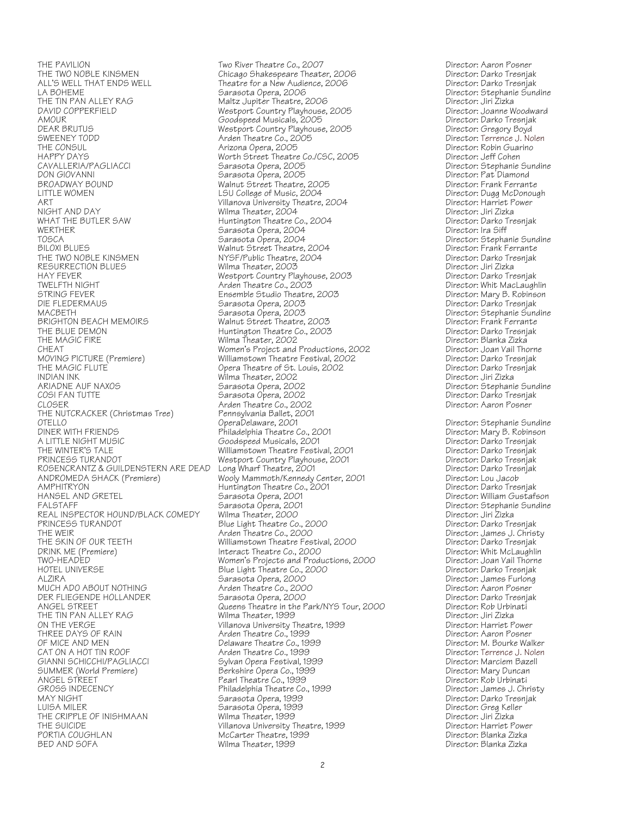HAPPY DAYS Worth Street Theatre Co./CSC, 2005 Director: Jeff Cohen BROADWAY BOUND Walnut Street Theatre, 2005<br>LITTLE WOMEN LSU College of Music, 2004 WERTHER Sarasota Opera, 2004<br>109CA TOSCA Director: Ira Sarasota Opera, 2004 HAY FEVER<br>TWELFTH NIGHT TWEER TO DIRECT And the Arden Theatre Co., 2003 THE BLUE DEMON FOR THE Huntington Theatre Co., 2003<br>THE MAGIC FIRE THE TRECTOR: Darko Treater, 2002 INDIAN INK Wilma Theater, 2002<br>ARIADNE AUF NAXOS Sarasota Opera, 2002 THE NUTCRACKER (Christmas Tree) Pennsylvania Ballet, 2<br>OTELLO OperaDelaware, 2001 HANSEL AND GRETEL Sarasota Opera, 2001<br>FALSTAFF Sarasota Opera, 2001 PRINCESS TURANDOT Blue Light Theatre Co., 2000<br>THE WEIR<br>Arden Theatre Co., 2000 HOTEL UNIVERSE Blue Light Theatre Co., 2000<br>ALZIRA Blue Light Theatre Co., 2000 PORTIA COUGHLAN McCarter Theatre, 1999<br>BED AND SOFA Director: Blanka Wilma Theater, 1999

THE PAVILION<br>The TWO NOBLE KINSMEN THE TWO River Theatre Co., 2007<br>THE TWO NOBLE KINSMEN Chicago Shakespeare Theater, 2006 Director: Darko Tresnjak THE TWO NOBLE KINSMEN Chicago Shakespeare Theater, 2006 Director: Darko Tresnjak ALL'S WELL THAT ENDS WELL Theatre for a New Audience, 2006 Director: Darko Tresnjak LA BOHEME Sarasota Opera, 2006 Director: Stephanie Sundine THE TIN PAN ALLEY RAG Maltz Jupiter Theatre, 2006 Director: Jiri Zizka DAVID COPPERFIELD Westport Country Playhouse, 2005 Director: Joanne Woodward AMOUR Goodspeed Musicals, 2005 Director: Darko Tresnjak DEAR BRUTUS Westport Country Playhouse, 2005 Director: Gregory Boyd SWEENEY TODD Arden Theatre Co., 2005 Director: Terrence J. Nolen THE CONSUL CONSUL Arizona Opera, 2005<br>The CONSUL Constants of the Unit of the College Co. COC CONS CONSULAR Constructor: Jeff Cohen CAVALLERIA/PAGLIACCI Sarasota Opera, 2005 Director: Stephanie Sundine DON GIOVANNI Sarasota Opera, 2005 Director: Pat Diamond LITTLE WOMEN LSU College of Music, 2004 Director: Dugg McDonough ART Villanova University Theatre, 2004 Director: Harriet Power NIGHT AND DAY Wilma Theater, 2004 Director: Jiri Zizka WHAT THE BUTLER SAW Funtington Theatre Co., 2004 Theath Physics of Director: Darko Theatre Co., 2004 Director: Darko T<br>WERTHER Director: Ira Siff TOSCA Sarasota Opera, 2004 Director: Stephanie Sundine BILOXI BLUES Walnut Street Theatre, 2004 Director: Frank Ferrante NYSF/Public Theatre, 2004 **Director:** Darko Tre<br>Wilma Theater, 2003 Director: Jiri Zizka RESURRECTION BLUES Wilma Theater, 2003 Director: Jiri Zizka TWELFTH NIGHT Arden Theatre Co., 2003 Director: Whit MacLaughlin STRING FEVER Ensemble Studio Theatre, 2003 Director: Mary B. Robinson DIE FLEDERMAUS Sarasota Opera, 2003 Director: Darko Tresnjak MACBETH Sarasota Opera, 2003 Director: Stephanie Sundine BRIGHTON BEACH MEMOIRS Walnut Street Theatre, 2003 Director: Frank Ferrante THE MAGIC FIRE THE MILMA Theater, 2002 CHEAT Director: Blanka Zizka<br>CHEAT Director: Joan Vail Thorne (Director: Joan Vail Thorne CHEAT CHEAT CHEAT Women's Project and Productions, 2002<br>Milliamstown Theatre Festival, 2002 Director: Darko Tresnjak MOVING PICTURE (Premiere) Williamstown Theatre Festival, 2002 Director: Darko Tresnjak Opera Theatre of St. Louis, 2002 **Director:** Director: Darko Tre<br>Wilma Theater, 2002 Director: Jiri Zizka ARIADNE AUF NAXOS Sarasota Opera, 2002 Director: Stephanie Sundine COSI FAN TUTTE Sarasota Opera, 2002 Director: Darko Tresnjak Arden Theatre Co., 2002<br>Pennsylvania Ballet, 2001 OTELLO OperaDelaware, 2001 Director: Stephanie Sundine DINER WITH FRIENDS Philadelphia Theatre Co., 2001 Director: Mary B. Robinson A LITTLE NIGHT MUSIC Goodspeed Musicals, 2001 Director: Darko Tresnjak THE WINTER'S TALE THE Williamstown Theatre Festival, 2001 The University Director: Darko Tresnjak<br>PRINCESS TURANDOT PRESSENT Westport Country Playhouse, 2001 The Director: Darko Tresnjak PRINCESS TURANDOT Westport Country Playhouse, 2001 Director: Darko Tresnjak ROSENCRANTZ & GUILDENSTERN ARE DEAD Long Wharf Theatre, 2001<br>ANDROMEDA SHACK (Premiere) Wooly Mammoth/Kennedy Center, 2001 Director: Lou Jacob ANDROMEDA SHACK (Premiere)<br>ANDROMEDA SHACK (Premiere) Wooly Mammoth/Kennedy Center, 2001 Director: Lou Jacob<br>AMPHITRYON Director: Darko Tresniak AMPHITRYON Huntington Theatre Co., 2001 Director: Darko Tresnjak FALSTAFF Sarasota Opera, 2001 Director: Stephanie Sundine REAL INSPECTOR HOUND/BLACK COMEDY Wilma Theater, 2000<br>PRINCESS TURANDOT PRINCESS DESIGNED Blue Light Theatre Co., 2000 THE WEIR<br>THE SKIN OF OUR TEETH Theatre Theatre Co., 2000<br>THE SKIN OF OUR TEETH Williamstown Theatre Festival, 2000 Director: Darko Tresniak THE SKIN OF OUR TEETH Williamstown Theatre Festival, 2000 Director: Darko Tresnjak The Unit of the Latter of the Interact Theatre Co., 2000<br>Interact Theatre Co., 2000<br>INO-HEADED Director: Joan Vail Thorne (Dan Vail Thorne Women's Projects and Productions, 2000) TWO-HEADED TWO-HEADED TO MELLING Women's Projects and Productions, 2000 Director: Joan Vail Thorne<br>HOTEL UNIVERSE THE STATE SHE Light Theatre Co., 2000 ALZIRA Sarasota Opera, 2000 Director: James Furlong MUCH ADO ABOUT NOTHING Arden Theatre Co., 2000 Director: Aaron Posner DER FLIEGENDE HOLLANDER<br>DER FLIEGENDE HOLLANDER Sarasota Opera, 2000<br>ANGEL STREET Street on the Park/NYS Tour, 2000 Director: Rob Urbinati Aueens Theatre in the Park/NYS Tour, 2000 Director: Rob Urbin<br>Wilma Theater, 1999 Director: Jiri Zizka THE TIN PAN ALLEY RAG Wilma Theater, 1999 Director: Jiri Zizka ON THE VERGE VILLAND Villanova University Theatre, 1999 Controlled a Director: Harriet Power (1999 Marriet Powe<br>THREE DAYS OF RAIN Controlled a Arden Theatre Co., 1999 Marriet Power (1999 Director: Aaron Posner THREE DAYS OF RAIN Arden Theatre Co., 1999 Director: Aaron Posner OF MICE AND MEN Delaware Theatre Co., 1999 Director: M. Bourke Walker CAT ON A HOT TIN ROOF COMEXATION Arden Theatre Co., 1999<br>GIANNI SCHICCHI/PAGLIACCI COMEXATION: Sylvan Opera Festival. 1999 Comexation Director: Marciem Bazell GIANNI SCHICCHI/PAGLIACCI Sylvan Opera Festival, 1999 Director: Marciem Bazell SUMMER (World Premiere) Berkshire Opera Co., 1999 Director: Mary Duncan<br>ANGEL STREET Pearl Theatre Co., 1999 Director: Rob Urbinati ANGEL STREET And Communicative Co., 1999<br>GROSS INDECENCY CROSS Philadelphia Theatre Co., 1999 Director: James J. Christy GROSS INDECENCY Philadelphia Theatre Co., 1999 Director: James J. Christy MAY NIGHT Sarasota Opera, 1999 Director: Darko Tresnjak LUISA MILER Sarasota Opera, 1999 Director: Greg Keller THE CRIPPLE OF INISHMAAN Wilma Theater, 1999<br>THE CRIPPLE OF INISHMAAN Willanova University Theatre, 1999 Director: Jiri Zizka<br>Director: Harriet Power THE SUICIDE Villanova University Theatre, 1999 Director: Harriet Power

Director: Blanka Zizka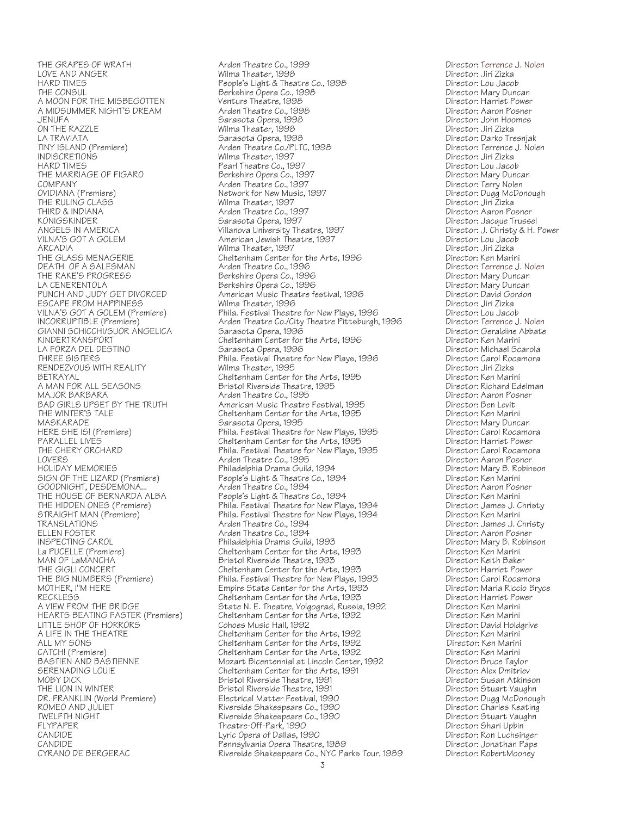A MIDSUMMER NIGHT'S DREAM Arden Theatre Co., 1998 Director: Aaron Posner ON THE RAZZLE Wilma Theater, 1998 Director: Jiri Zizka COMPANY Arden Theatre Co., 1997 Director: Terry Nolen THE GLASS MENAGERIE Cheltenham Center for the Arts, 1996<br>DEATH OF A SALESMAN CHERRY Arden Theatre Co., 1996 KINDERTRANSPORT Cheltenham Center for the Arts, 1996 Director: Ken Marini THE WINTER'S TALE Cheltenham Center for the Arts, 1995<br>MASKARADE Cheltenham Center for the Arts, 1995 MOBY DICK<br>THE LION IN WINTER THE Bristol Riverside Theatre, 1991<br>Bristol Riverside Theatre, 1991 CANDIDE Pennsylvania Opera Theatre, 1989 Director: Jonathan Pape

THE GRAPES OF WRATH Arden Theatre Co., 1999 Director: Terrence J. Nolen LOVE AND ANGER Wilma Theater, 1998 Director: Jiri Zizka HARD TIMES People's Light & Theatre Co., 1998 Director: Lou Jacob THE CONSUL Berkshire Opera Co., 1998 Director: Mary Duncan A MOON FOR THE MISBEGOTTEN Venture Theatre, 1998<br>A MIDSUMMER NIGHT'S DREAM Arden Theatre Co., 1998 Director: Aaron Posner JENUFA Sarasota Opera, 1998 Director: John Hoomes LA TRAVIATA Sarasota Opera, 1998 Director: Darko Tresnjak TINY ISLAND (Premiere) Arden Theatre Co./PLTC, 1998 Director: Terrence J. Nolen INDISCRETIONS Wilma Theater, 1997 Director: Jiri Zizka HARD TIMES Pearl Theatre Co., 1997 Director: Lou Jacob THE MARRIAGE OF FIGARO Berkshire Opera Co., 1997 Director: Mary Duncan OVIDIANA (Premiere) Network for New Music, 1997 Director: Dugg McDonough THE RULING CLASS (UNITAL STATES) Wilma Theater, 1997<br>THIRD & INDIANA Director: Aaron Po THIRD & INDIANA Arden Theatre Co., 1997 Director: Aaron Posner KONIGSKINDER Sarasota Opera, 1997 Director: Jacque Trussel ANGELS IN AMERICA Villanova University Theatre, 1997 Director: J. Christy & H. Power VILNA'S GOT A GOLEM American Jewish Theatre, 1997 Director: Lou Jacob ARCADIA Wilma Theater, 1997 Director: Jiri Zizka DEATH OF A SALESMAN Arden Theatre Co., 1996 (DEATH OF A SALESMAN Director: Terrence J. Nolen<br>1996 Director: Mary Duncan Berkshire Opera Co., 1996 (Director: Mary Duncan THE RAKE'S PROGRESS Berkshire Opera Co., 1996 Director: Mary Duncan LA CENERENTOLA Berkshire Opera Co., 1996 Director: Mary Duncan PUNCH AND JUDY GET DIVORCED American Music Theatre festival, 1996 Director: David Gordon: Director: David Gord<br>ESCAPE FROM HAPPINESS Wilma Theater. 1996 ESCAPE FROM HAPPINESS Wilma Theater, 1996 Director: Jiri Zizka VILNA'S GOT A GOLEM (Premiere) Phila. Festival Theatre for New Plays, 1996 Director: Lou Jacob Arden Theatre Co./City Theatre Pittsburgh, 1996 Director: Terrence J. Nolen<br>Sarasota Opera, 1996 Director: Geraldine Abbate GIANNI SCHICCHI/SUOR ANGELICA Sarasota Opera, 1996<br>KINDERTRANSPORT Cheltenham Center for the Arts, 1996 Director: Ken Marini LA FORZA DEL DESTINO<br>1996 - THREE SISTERS<br>2011 - Phila. Festival Theatre for New Plays, 1996 Director: Carol Rocamora THREE SISTERS Phila. Festival Theatre for New Plays, 1996 Director: Carol Rocamora RENDEZVOUS WITH REALITY **Wilma Theater, 1995**<br>BETRAYAL Director: Jiri Zizka Cheltenham Center for the Arts, 1995 Director: Ken Marini BETRAYAL Cheltenham Center for the Arts, 1995 Director: Ken Marini A MAN FOR ALL SEASONS Bristol Riverside Theatre, 1995 Director: Richard Edelman MAJOR BARBARA Arden Theatre Co., 1995 Director: Aaron Posner BAD GIRLS UPSET BY THE TRUTH American Music Theatre Festival, 1995 Director: Ben Levit<br>THE WINTER'S TALE Cheltenham Center for the Arts, 1995 Director: Ken Marini mannah di secara terletak di secara di Sarasota Opera, 1995<br>MASKARADE Sarasota Opera, 1995 Director: Mary Director: Carol Rocamora<br>HERE SHE ISI (Premiere) Director: Carol Rocamora HERE SHE IS! (Premiere) Phila. Festival Theatre for New Plays, 1995 Director: Carol Rocamora<br>PARALLEL LIVES Director: Harriet Power PARALLEL LIVES Cheltenham Center for the Arts, 1995 Director: Harriet Power THE CHERY ORCHARD Phila. Festival Theatre for New Plays, 1995 Director: Carol Rocamora LOVERS Arden Theatre Co., 1995 Director: Aaron Posner HOLIDAY MEMORIES Philadelphia Drama Guild, 1994 Director: Mary B. Robinson SIGN OF THE LIZARD (Premiere) People's Light & Theatre Co., 1994 Director: Ken Marini GOODNIGHT, DESDEMONA... Arden Theatre Co., 1994 Director: Aaron Posner THE HOUSE OF BERNARDA ALBA People's Light & Theatre Co., 1994 Director: Ken Marini THE HIDDEN ONES (Premiere) Phila. Festival Theatre for New Plays, 1994 Director: James J. Christy D. Christy<br>1994 Director: Ken Marini Phila. Festival Theatre for New Plays, 1994 Director: Ken Marini STRAIGHT MAN (Premiere) *Phila. Festival Theatre for New Plays*, 1994<br>TRANSLATIONS: Ken Marinii Arden Theatre Co., 1994 TRANSLATIONS COMEXATIONS Arden Theatre Co., 1994<br>ELLEN FOSTER COMEXATION Arden Theatre Co., 1994 Cliented Comey Director: Aaron Posner ELLEN FOSTER Arden Theatre Co., 1994 Director: Aaron Posner INSPECTING CAROL Philadelphia Drama Guild, 1993 Director: Mary B. Robinson La PUCELLE (Premiere) Cheltenham Center for the Arts, 1993 Director: Ken Marini MAN OF LaMANCHA Bristol Riverside Theatre, 1993 Director: Keith Baker THE GIGLI CONCERT Cheltenham Center for the Arts, 1993 Director: Harriet Power THE BIG NUMBERS (Premiere) Phila. Festival Theatre for New Plays, 1993 Director: Carol Rocamora<br>MOTHER, I"M HERE Disclo Bryce Empire State Center for the Arts, 1993 Director: Maria Riccio Bryce MOTHER, I"M HERE THERE THE MOTHER, I"M HERE THE STATE STATE STATE STATE STATE STATE STATE STATE STATE STATE ST<br>RECKLESS Director: Harriet Power RECKLESS Cheltenham Center for the Arts, 1993 Director: Harriet Power State N. E. Theatre, Volgograd, Russia, 1992 Director: Ken Marini<br>Cheltenham Center for the Arts, 1992 Director: Ken Marini HEARTS BEATING FASTER (Premiere) Cheltenham Center for the Arts, 1992 Director: Ken Marini LITTLE SHOP OF HORRORS<br>
A LIFE IN THE THEATRE Cohoes Music Hall, 1992 Director: David Hold,<br>
A LIFE IN THE THEATRE Cheltenham Center for the Arts, 1992 Director: Ken Marini A LIFE IN THE THEATRE Cheltenham Center for the Arts, 1992 Director: Ken Marini<br>ALL MY SONS Cheltenham Center for the Arts, 1992 Director: Ken Marini ALL MY SONS Cheltenham Center for the Arts, 1992 Director: Ken Marini<br>CATCH! (Premiere) CATCH! Cheltenham Center for the Arts, 1992 Director: Ken Marini CATCH! (Premiere) Cheltenham Center for the Arts, 1992 Director: Ken Marini BASTIEN AND BASTIENNE Mozart Bicentennial at Lincoln Center, 1992 Director: Bruce Taylor SERENADING LOUIE Cheltenham Center for the Arts, 1991 Director: Alex Dmitriev THE LION IN WINTER<br>THE LION IN WINTER THEATRE BRISTON BRISTON BRISTON Director: Stuart Vaughn<br>DR. FRANKLIN (World Premiere) Blectrical Matter Festival, 1990 DR. FRANKLIN (World Premiere) Electrical Matter Festival, 1990 Director: Dugg McDonough ROMEO AND JULIET COMENS (Riverside Shakespeare Co., 1990 Comenting Director: Charles Keating<br>1990 Director: Stuart Vaughn (Riverside Shakespeare Co., 1990 Charles Director: Stuart Vaughn TWELFTH NIGHT **The Construction Construction Construction** Director: Stuart Vaughne Riverside Shakespeare Co., 1990<br>FLYPAPER Director: Shari Upbin FLYPAPER Theatre-Off-Park, 1990 Director: Shari Upbin CANDIDE Lyric Opera of Dallas, 1990 Director: Ron Luchsinger Riverside Shakespeare Co., NYC Parks Tour, 1989